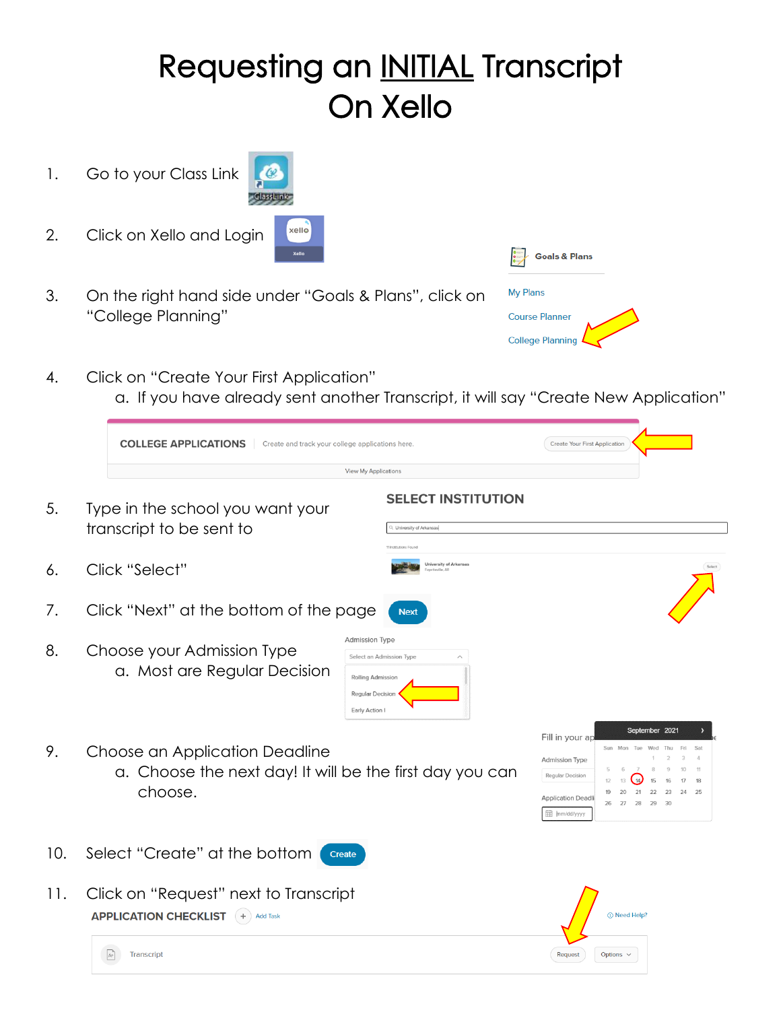## Requesting an INITIAL Transcript On Xello

- 1. Go to your Class Link
- 2. Click on Xello and Login

Transcript

 $\mathbb{A}^+$ 

- ClassLink xello
- 3. On the right hand side under "Goals & Plans", click on "College Planning"
- 4. Click on "Create Your First Application" a. If you have already sent another Transcript, it will say "Create New Application"

|     | <b>COLLEGE APPLICATIONS</b><br>Create and track your college applications here.                       |                                                                                                              | Create Your First Application                                                                                                                                                             |
|-----|-------------------------------------------------------------------------------------------------------|--------------------------------------------------------------------------------------------------------------|-------------------------------------------------------------------------------------------------------------------------------------------------------------------------------------------|
|     |                                                                                                       | <b>View My Applications</b>                                                                                  |                                                                                                                                                                                           |
| 5.  | Type in the school you want your<br>transcript to be sent to                                          | <b>SELECT INSTITUTION</b><br>L University of Arkansas<br>Institutions Found                                  |                                                                                                                                                                                           |
| 6.  | Click "Select"                                                                                        | University of Arkansas                                                                                       |                                                                                                                                                                                           |
| 7.  | Click "Next" at the bottom of the page                                                                | <b>Next</b>                                                                                                  |                                                                                                                                                                                           |
| 8.  | Choose your Admission Type<br>a. Most are Regular Decision                                            | <b>Admission Type</b><br>Select an Admission Type<br>Rolling Admission<br>Regular Decision<br>Early Action I |                                                                                                                                                                                           |
| 9.  | Choose an Application Deadline<br>a. Choose the next day! It will be the first day you can<br>choose. |                                                                                                              | September 2021<br>Fill in your ap<br>Fri<br>Sat<br><b>Admission Type</b><br>Regular Decision<br>.14.<br>18<br>13<br>24<br><b>Application Deadli</b><br>26<br>27<br>28<br>29<br>mm/dd/yyyy |
| 10. | Select "Create" at the bottom                                                                         | Create                                                                                                       |                                                                                                                                                                                           |
| 11. | Click on "Request" next to Transcript<br><b>APPLICATION CHECKLIST</b> (+) Add Task                    |                                                                                                              | 1 Need Help?                                                                                                                                                                              |



 $\fbox{\texttt{Request}} \quad \hbox{\texttt{Options}} \; \smallsmile$